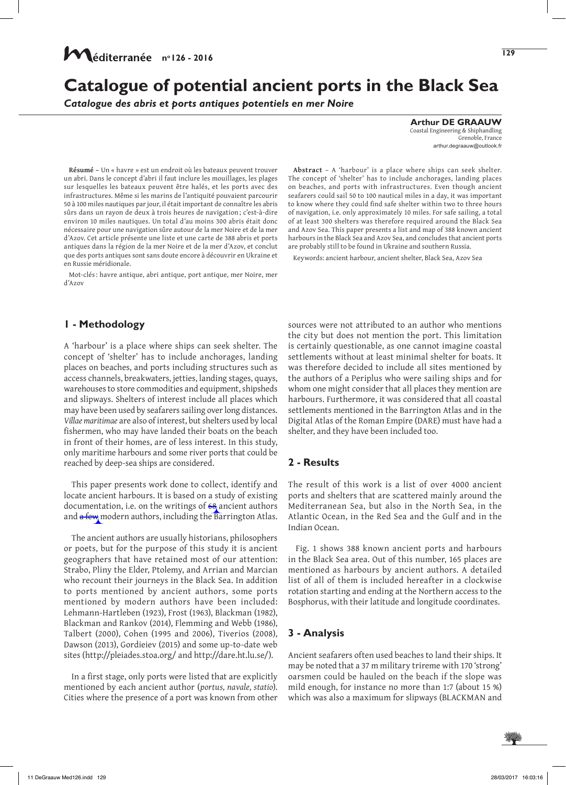# **Catalogue of potential ancient ports in the Black Sea**

*Catalogue des abris et ports antiques potentiels en mer Noire* 

**Résumé –** Un « havre » est un endroit où les bateaux peuvent trouver un abri. Dans le concept d'abri il faut inclure les mouillages, les plages sur lesquelles les bateaux peuvent être halés, et les ports avec des infrastructures. Même si les marins de l'antiquité pouvaient parcourir 50 à 100 miles nautiques par jour, il était important de connaître les abris sûrs dans un rayon de deux à trois heures de navigation ; c'est‑à‑dire environ 10 miles nautiques. Un total d'au moins 300 abris était donc nécessaire pour une navigation sûre autour de la mer Noire et de la mer d'Azov. Cet article présente une liste et une carte de 388 abris et ports antiques dans la région de la mer Noire et de la mer d'Azov, et conclut que des ports antiques sont sans doute encore à découvrir en Ukraine et en Russie méridionale.

Mot-clés: havre antique, abri antique, port antique, mer Noire, mer d'Azov

## **1 - Methodology**

A 'harbour' is a place where ships can seek shelter. The concept of 'shelter' has to include anchorages, landing places on beaches, and ports including structures such as access channels, breakwaters, jetties, landing stages, quays, warehouses to store commodities and equipment, shipsheds and slipways. Shelters of interest include all places which may have been used by seafarers sailing over long distances. *Villae maritimae* are also of interest, but shelters used by local fishermen, who may have landed their boats on the beach in front of their homes, are of less interest. In this study, only maritime harbours and some river ports that could be reached by deep-sea ships are considered.

This paper presents work done to collect, identify and locate ancient harbours. It is based on a study of existing documentation, i.e. on the writings of  $68$  ancient authors and a few modern authors, including the Barrington Atlas.

The ancient authors are usually historians, philosophers or poets, but for the purpose of this study it is ancient geographers that have retained most of our attention: Strabo, Pliny the Elder, Ptolemy, and Arrian and Marcian who recount their journeys in the Black Sea. In addition to ports mentioned by ancient authors, some ports mentioned by modern authors have been included: Lehmann-Hartleben (1923), Frost (1963), Blackman (1982), Blackman and Rankov (2014), Flemming and Webb (1986), Talbert (2000), Cohen (1995 and 2006), Tiverios (2008), Dawson (2013), Gordieiev (2015) and some up-to-date web sites (http://pleiades.stoa.org/ and http://dare.ht.lu.se/).

In a first stage, only ports were listed that are explicitly mentioned by each ancient author (*portus, navale, statio*). Cities where the presence of a port was known from other

**Arthur DE GRAAUW**

Coastal Engineering & Shiphandling Grenoble, France arthur.degraauw@outlook.fr

**129**

**Abstract** – A 'harbour' is a place where ships can seek shelter. The concept of 'shelter' has to include anchorages, landing places on beaches, and ports with infrastructures. Even though ancient seafarers could sail 50 to 100 nautical miles in a day, it was important to know where they could find safe shelter within two to three hours of navigation, i.e. only approximately 10 miles. For safe sailing, a total of at least 300 shelters was therefore required around the Black Sea and Azov Sea. This paper presents a list and map of 388 known ancient harbours in the Black Sea and Azov Sea, and concludes that ancient ports are probably still to be found in Ukraine and southern Russia.

Keywords: ancient harbour, ancient shelter, Black Sea, Azov Sea

sources were not attributed to an author who mentions the city but does not mention the port. This limitation is certainly questionable, as one cannot imagine coastal settlements without at least minimal shelter for boats. It was therefore decided to include all sites mentioned by the authors of a Periplus who were sailing ships and for whom one might consider that all places they mention are harbours. Furthermore, it was considered that all coastal settlements mentioned in the Barrington Atlas and in the Digital Atlas of the Roman Empire (DARE) must have had a shelter, and they have been included too.

#### **2 - Results**

The result of this work is a list of over 4000 ancient ports and shelters that are scattered mainly around the Mediterranean Sea, but also in the North Sea, in the Atlantic Ocean, in the Red Sea and the Gulf and in the Indian Ocean.

Fig. 1 shows 388 known ancient ports and harbours in the Black Sea area. Out of this number, 165 places are mentioned as harbours by ancient authors. A detailed list of all of them is included hereafter in a clockwise rotation starting and ending at the Northern access to the Bosphorus, with their latitude and longitude coordinates.

### **3 - Analysis**

Ancient seafarers often used beaches to land their ships. It may be noted that a 37 m military trireme with 170 'strong' oarsmen could be hauled on the beach if the slope was mild enough, for instance no more than 1:7 (about 15 %) which was also a maximum for slipways (BLACKMAN and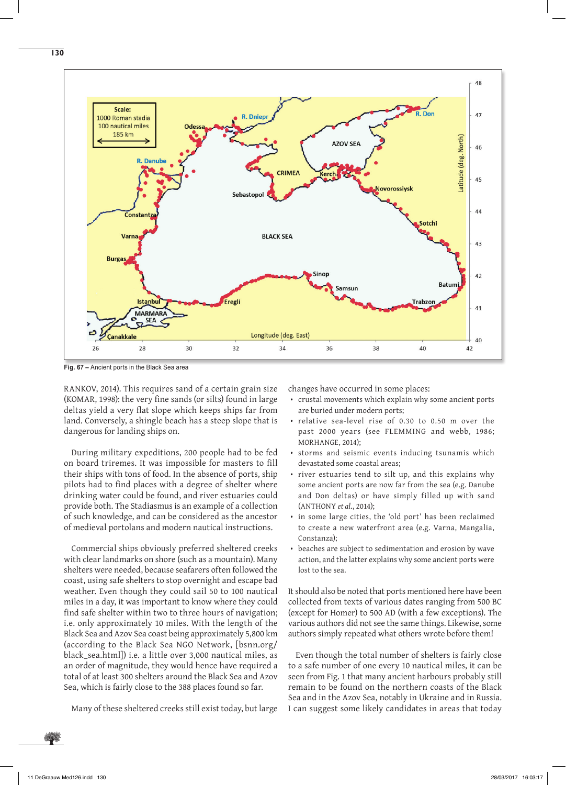



**Fig. 67 –** Ancient ports in the Black Sea area

RANKOV, 2014). This requires sand of a certain grain size (KOMAR, 1998): the very fine sands (or silts) found in large deltas yield a very flat slope which keeps ships far from land. Conversely, a shingle beach has a steep slope that is dangerous for landing ships on.

During military expeditions, 200 people had to be fed on board triremes. It was impossible for masters to fill their ships with tons of food. In the absence of ports, ship pilots had to find places with a degree of shelter where drinking water could be found, and river estuaries could provide both. The Stadiasmus is an example of a collection of such knowledge, and can be considered as the ancestor of medieval portolans and modern nautical instructions.

Commercial ships obviously preferred sheltered creeks with clear landmarks on shore (such as a mountain). Many shelters were needed, because seafarers often followed the coast, using safe shelters to stop overnight and escape bad weather. Even though they could sail 50 to 100 nautical miles in a day, it was important to know where they could find safe shelter within two to three hours of navigation; i.e. only approximately 10 miles. With the length of the Black Sea and Azov Sea coast being approximately 5,800 km (according to the Black Sea NGO Network, [bsnn.org/ black\_sea.html]) i.e. a little over 3,000 nautical miles, as an order of magnitude, they would hence have required a total of at least 300 shelters around the Black Sea and Azov Sea, which is fairly close to the 388 places found so far.

Many of these sheltered creeks still exist today, but large

changes have occurred in some places:

- crustal movements which explain why some ancient ports are buried under modern ports;
- relative sea-level rise of 0.30 to 0.50 m over the past 2000 years (see FLEMMING and webb, 1986; MORHANGE, 2014);
- storms and seismic events inducing tsunamis which devastated some coastal areas;
- river estuaries tend to silt up, and this explains why some ancient ports are now far from the sea (e.g. Danube and Don deltas) or have simply filled up with sand (ANTHONY *et al*., 2014);
- in some large cities, the 'old port' has been reclaimed to create a new waterfront area (e.g. Varna, Mangalia, Constanza);
- beaches are subject to sedimentation and erosion by wave action, and the latter explains why some ancient ports were lost to the sea.

It should also be noted that ports mentioned here have been collected from texts of various dates ranging from 500 BC (except for Homer) to 500 AD (with a few exceptions). The various authors did not see the same things. Likewise, some authors simply repeated what others wrote before them!

Even though the total number of shelters is fairly close to a safe number of one every 10 nautical miles, it can be seen from Fig. 1 that many ancient harbours probably still remain to be found on the northern coasts of the Black Sea and in the Azov Sea, notably in Ukraine and in Russia. I can suggest some likely candidates in areas that today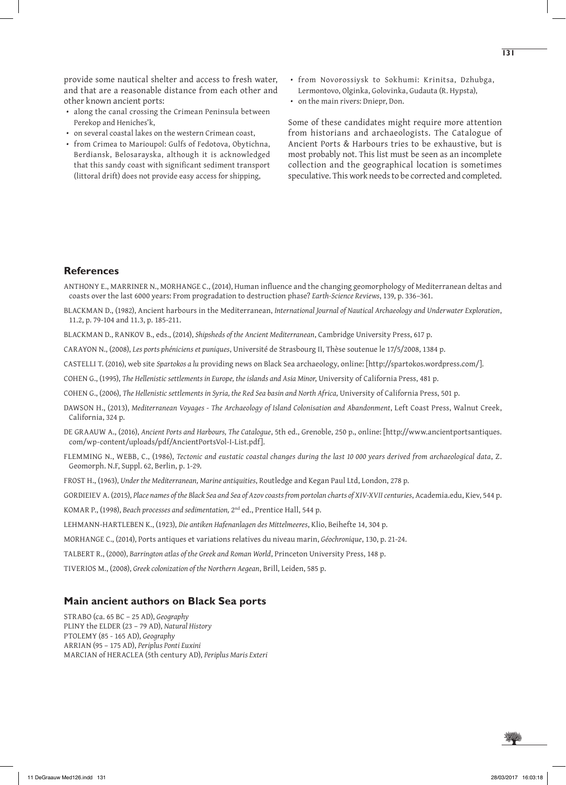provide some nautical shelter and access to fresh water, and that are a reasonable distance from each other and other known ancient ports:

- along the canal crossing the Crimean Peninsula between Perekop and Heniches'k,
- on several coastal lakes on the western Crimean coast,
- from Crimea to Marioupol: Gulfs of Fedotova, Obytichna, Berdiansk, Belosarayska, although it is acknowledged that this sandy coast with significant sediment transport (littoral drift) does not provide easy access for shipping,
- from Novorossiysk to Sokhumi: Krinitsa, Dzhubga, Lermontovo, Olginka, Golovinka, Gudauta (R. Hypsta),
- on the main rivers: Dniepr, Don.

Some of these candidates might require more attention from historians and archaeologists. The Catalogue of Ancient Ports & Harbours tries to be exhaustive, but is most probably not. This list must be seen as an incomplete collection and the geographical location is sometimes speculative. This work needs to be corrected and completed.

#### **References**

ANTHONY E., MARRINER N., MORHANGE C., (2014), Human influence and the changing geomorphology of Mediterranean deltas and coasts over the last 6000 years: From progradation to destruction phase? *Earth-Science Reviews*, 139, p. 336–361.

- BLACKMAN D., (1982), Ancient harbours in the Mediterranean, *International Journal of Nautical Archaeology and Underwater Exploration*, 11.2, p. 79-104 and 11.3, p. 185-211.
- BLACKMAN D., RANKOV B., eds., (2014), *Shipsheds of the Ancient Mediterranean*, Cambridge University Press, 617 p.
- CARAYON N., (2008), *Les ports phéniciens et puniques*, Université de Strasbourg II, Thèse soutenue le 17/5/2008, 1384 p.
- CASTELLI T. (2016), web site *Spartokos a lu* providing news on Black Sea archaeology, online: [http://spartokos.wordpress.com/].
- COHEN G., (1995), *The Hellenistic settlements in Europe, the islands and Asia Minor*, University of California Press, 481 p.
- COHEN G., (2006), *The Hellenistic settlements in Syria, the Red Sea basin and North Africa,* University of California Press, 501 p.
- DAWSON H., (2013), *Mediterranean Voyages The Archaeology of Island Colonisation and Abandonment*, Left Coast Press, Walnut Creek, California, 324 p.
- DE GRAAUW A., (2016), *Ancient Ports and Harbours, The Catalogue*, 5th ed., Grenoble, 250 p., online: [http://www.ancientportsantiques. com/wp-content/uploads/pdf/AncientPortsVol-I-List.pdf].
- FLEMMING N., WEBB, C., (1986), *Tectonic and eustatic coastal changes during the last 10 000 years derived from archaeological data*, Z. Geomorph. N.F, Suppl. 62, Berlin, p. 1-29.
- FROST H., (1963), *Under the Mediterranean, Marine antiquities*, Routledge and Kegan Paul Ltd, London, 278 p.

GORDIEIEV A. (2015), *Place names of the Black Sea and Sea of Azov coasts from portolan charts of XIV-XVII centuries*, Academia.edu, Kiev, 544 p.

KOMAR P., (1998), *Beach processes and sedimentation,* 2nd ed., Prentice Hall, 544 p.

- LEHMANN-HARTLEBEN K., (1923), *Die antiken Hafenanlagen des Mittelmeeres*, Klio, Beihefte 14, 304 p.
- MORHANGE C., (2014), Ports antiques et variations relatives du niveau marin, *Géochronique*, 130, p. 21-24.
- TALBERT R., (2000), *Barrington atlas of the Greek and Roman World*, Princeton University Press, 148 p.

TIVERIOS M., (2008), *Greek colonization of the Northern Aegean*, Brill, Leiden, 585 p.

#### **Main ancient authors on Black Sea ports**

STRABO (ca. 65 BC – 25 AD), *Geography* PLINY the ELDER (23 – 79 AD), *Natural History* PTOLEMY (85 - 165 AD), *Geography* ARRIAN (95 – 175 AD), *Periplus Ponti Euxini* MARCIAN of HERACLEA (5th century AD), *Periplus Maris Exteri*

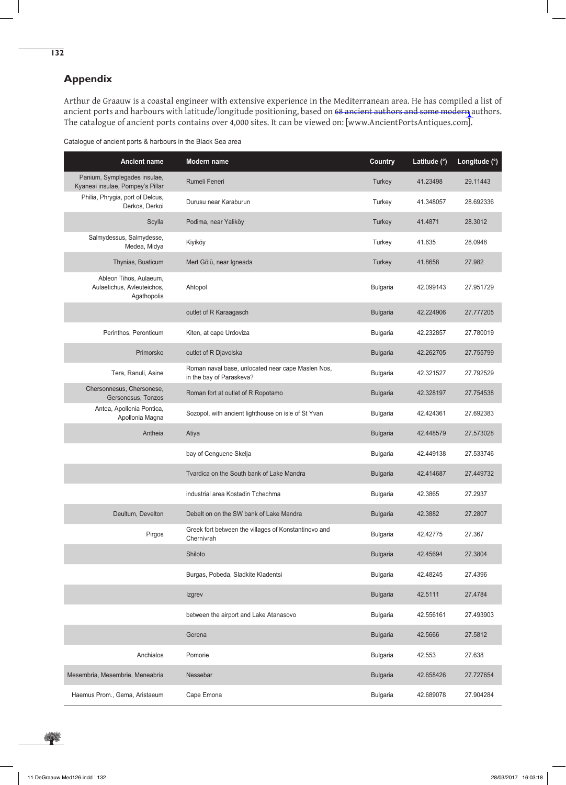## **Appendix**

**132**

Arthur de Graauw is a coastal engineer with extensive experience in the Mediterranean area. He has compiled a list of ancient ports and harbours with latitude/longitude positioning, based on 68 ancient authors and some modern authors. The catalogue of ancient ports contains over 4,000 sites. It can be viewed on: [www.AncientPortsAntiques.com].

|  | Catalogue of ancient ports & harbours in the Black Sea area |
|--|-------------------------------------------------------------|
|  |                                                             |

| <b>Ancient name</b>                                                 | Modern name                                                                   | <b>Country</b>  | Latitude (°) | Longitude (°) |
|---------------------------------------------------------------------|-------------------------------------------------------------------------------|-----------------|--------------|---------------|
| Panium, Symplegades insulae,<br>Kyaneai insulae, Pompey's Pillar    | Rumeli Feneri                                                                 | Turkey          | 41.23498     | 29.11443      |
| Philia, Phrygia, port of Delcus,<br>Derkos, Derkoi                  | Durusu near Karaburun                                                         | Turkey          | 41.348057    | 28.692336     |
| Scylla                                                              | Podima, near Yaliköy                                                          | Turkey          | 41.4871      | 28.3012       |
| Salmydessus, Salmydesse,<br>Medea, Midya                            | Kiyiköy                                                                       | Turkey          | 41.635       | 28.0948       |
| Thynias, Buaticum                                                   | Mert Gölü, near Igneada                                                       | Turkey          | 41.8658      | 27.982        |
| Ableon Tihos, Aulaeum,<br>Aulaetichus, Avleuteichos,<br>Agathopolis | Ahtopol                                                                       | <b>Bulgaria</b> | 42.099143    | 27.951729     |
|                                                                     | outlet of R Karaagasch                                                        | <b>Bulgaria</b> | 42.224906    | 27.777205     |
| Perinthos, Peronticum                                               | Kiten, at cape Urdoviza                                                       | <b>Bulgaria</b> | 42.232857    | 27.780019     |
| Primorsko                                                           | outlet of R Djavolska                                                         | <b>Bulgaria</b> | 42.262705    | 27.755799     |
| Tera, Ranuli, Asine                                                 | Roman naval base, unlocated near cape Maslen Nos,<br>in the bay of Paraskeva? | <b>Bulgaria</b> | 42.321527    | 27.792529     |
| Chersonnesus, Chersonese,<br>Gersonosus, Tonzos                     | Roman fort at outlet of R Ropotamo                                            | <b>Bulgaria</b> | 42.328197    | 27.754538     |
| Antea, Apollonia Pontica,<br>Apollonia Magna                        | Sozopol, with ancient lighthouse on isle of St Yvan                           | <b>Bulgaria</b> | 42.424361    | 27.692383     |
| Antheia                                                             | Atiya                                                                         | <b>Bulgaria</b> | 42.448579    | 27.573028     |
|                                                                     | bay of Cenguene Skelja                                                        | <b>Bulgaria</b> | 42.449138    | 27.533746     |
|                                                                     | Tvardica on the South bank of Lake Mandra                                     | <b>Bulgaria</b> | 42.414687    | 27.449732     |
|                                                                     | industrial area Kostadin Tchechma                                             | <b>Bulgaria</b> | 42.3865      | 27.2937       |
| Deultum, Develton                                                   | Debelt on on the SW bank of Lake Mandra                                       | <b>Bulgaria</b> | 42.3882      | 27.2807       |
| Pirgos                                                              | Greek fort between the villages of Konstantinovo and<br>Chernivrah            | <b>Bulgaria</b> | 42.42775     | 27.367        |
|                                                                     | Shiloto                                                                       | <b>Bulgaria</b> | 42.45694     | 27.3804       |
|                                                                     | Burgas, Pobeda, Sladkite Kladentsi                                            | Bulgaria        | 42.48245     | 27.4396       |
|                                                                     | Izgrev                                                                        | <b>Bulgaria</b> | 42.5111      | 27.4784       |
|                                                                     | between the airport and Lake Atanasovo                                        | <b>Bulgaria</b> | 42.556161    | 27.493903     |
|                                                                     | Gerena                                                                        | <b>Bulgaria</b> | 42.5666      | 27.5812       |
| Anchialos                                                           | Pomorie                                                                       | <b>Bulgaria</b> | 42.553       | 27.638        |
| Mesembria, Mesembrie, Meneabria                                     | Nessebar                                                                      | <b>Bulgaria</b> | 42.658426    | 27.727654     |
| Haemus Prom., Gema, Aristaeum                                       | Cape Emona                                                                    | <b>Bulgaria</b> | 42.689078    | 27.904284     |

樂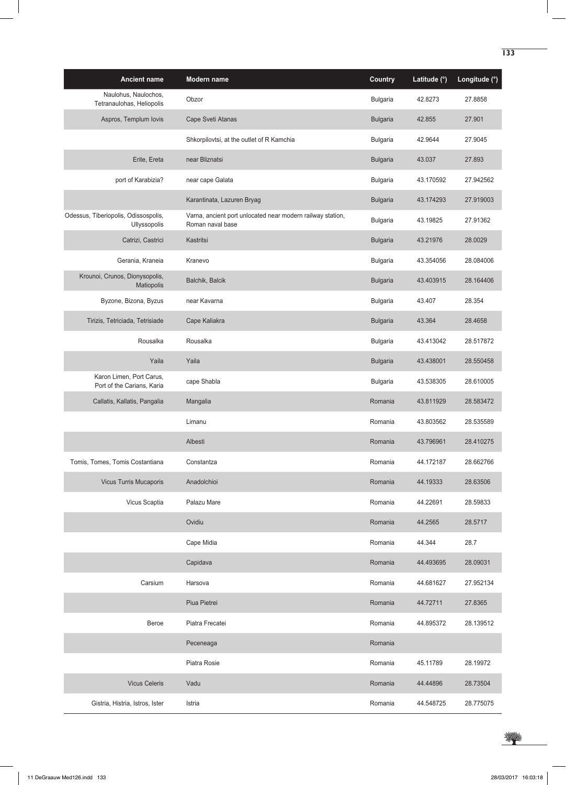| <b>Ancient name</b>                                         | Modern name                                                                    | <b>Country</b>  | Latitude (°) | Longitude (°) |
|-------------------------------------------------------------|--------------------------------------------------------------------------------|-----------------|--------------|---------------|
| Naulohus, Naulochos,<br>Tetranaulohas, Heliopolis           | Obzor                                                                          | <b>Bulgaria</b> | 42.8273      | 27.8858       |
| Aspros, Templum lovis                                       | Cape Sveti Atanas                                                              | <b>Bulgaria</b> | 42.855       | 27.901        |
|                                                             | Shkorpilovtsi, at the outlet of R Kamchia                                      | <b>Bulgaria</b> | 42.9644      | 27.9045       |
| Erite, Ereta                                                | near Bliznatsi                                                                 | <b>Bulgaria</b> | 43.037       | 27.893        |
| port of Karabizia?                                          | near cape Galata                                                               | <b>Bulgaria</b> | 43.170592    | 27.942562     |
|                                                             | Karantinata, Lazuren Bryag                                                     | <b>Bulgaria</b> | 43.174293    | 27.919003     |
| Odessus, Tiberiopolis, Odissospolis,<br><b>Ullyssopolis</b> | Varna, ancient port unlocated near modern railway station,<br>Roman naval base | <b>Bulgaria</b> | 43.19825     | 27.91362      |
| Catrizi, Castrici                                           | Kastritsi                                                                      | <b>Bulgaria</b> | 43.21976     | 28.0029       |
| Gerania, Kraneia                                            | Kranevo                                                                        | <b>Bulgaria</b> | 43.354056    | 28.084006     |
| Krounoi, Crunos, Dionysopolis,<br>Matiopolis                | Balchik, Balcik                                                                | <b>Bulgaria</b> | 43.403915    | 28.164406     |
| Byzone, Bizona, Byzus                                       | near Kavarna                                                                   | <b>Bulgaria</b> | 43.407       | 28.354        |
| Tirizis, Tetriciada, Tetrisiade                             | Cape Kaliakra                                                                  | <b>Bulgaria</b> | 43.364       | 28.4658       |
| Rousalka                                                    | Rousalka                                                                       | <b>Bulgaria</b> | 43.413042    | 28.517872     |
| Yaila                                                       | Yaila                                                                          | <b>Bulgaria</b> | 43.438001    | 28.550458     |
| Karon Limen, Port Carus,<br>Port of the Carians, Karia      | cape Shabla                                                                    | <b>Bulgaria</b> | 43.538305    | 28.610005     |
| Callatis, Kallatis, Pangalia                                | Mangalia                                                                       | Romania         | 43.811929    | 28.583472     |
|                                                             | Limanu                                                                         | Romania         | 43.803562    | 28.535589     |
|                                                             | Albesti                                                                        | Romania         | 43.796961    | 28.410275     |
| Tomis, Tomes, Tomis Costantiana                             | Constantza                                                                     | Romania         | 44.172187    | 28.662766     |
| <b>Vicus Turris Mucaporis</b>                               | Anadolchioi                                                                    | Romania         | 44.19333     | 28.63506      |
| Vicus Scaptia                                               | Palazu Mare                                                                    | Romania         | 44.22691     | 28.59833      |
|                                                             | Ovidiu                                                                         | Romania         | 44.2565      | 28.5717       |
|                                                             | Cape Midia                                                                     | Romania         | 44.344       | 28.7          |
|                                                             | Capidava                                                                       | Romania         | 44.493695    | 28.09031      |
| Carsium                                                     | Harsova                                                                        | Romania         | 44.681627    | 27.952134     |
|                                                             | Piua Pietrei                                                                   | Romania         | 44.72711     | 27.8365       |
| Beroe                                                       | Piatra Frecatei                                                                | Romania         | 44.895372    | 28.139512     |
|                                                             | Peceneaga                                                                      | Romania         |              |               |
|                                                             | Piatra Rosie                                                                   | Romania         | 45.11789     | 28.19972      |
| <b>Vicus Celeris</b>                                        | Vadu                                                                           | Romania         | 44.44896     | 28.73504      |
| Gistria, Histria, Istros, Ister                             | Istria                                                                         | Romania         | 44.548725    | 28.775075     |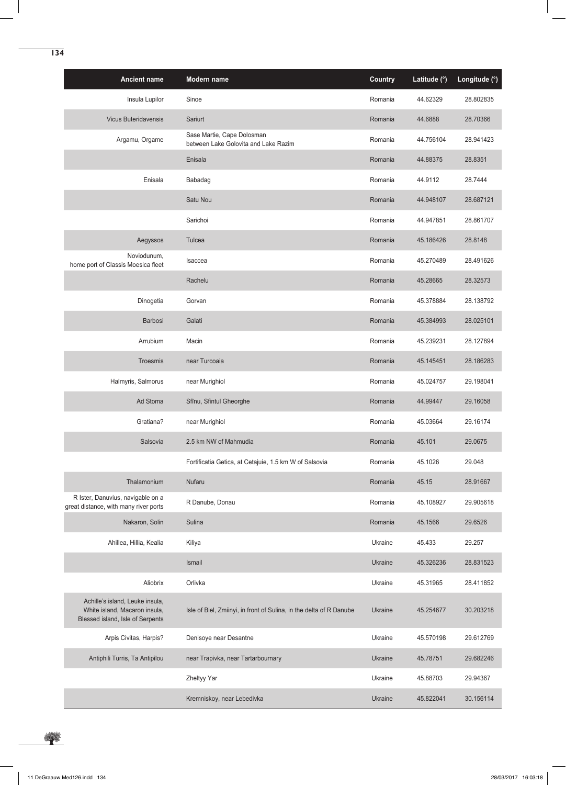| <b>Ancient name</b>                                                                                  | Modern name                                                         | <b>Country</b> | Latitude (°) | Longitude (°) |
|------------------------------------------------------------------------------------------------------|---------------------------------------------------------------------|----------------|--------------|---------------|
| Insula Lupilor                                                                                       | Sinoe                                                               | Romania        | 44.62329     | 28.802835     |
| <b>Vicus Buteridavensis</b>                                                                          | Sariurt                                                             | Romania        | 44.6888      | 28.70366      |
| Argamu, Orgame                                                                                       | Sase Martie, Cape Dolosman<br>between Lake Golovita and Lake Razim  | Romania        | 44.756104    | 28.941423     |
|                                                                                                      | Enisala                                                             | Romania        | 44.88375     | 28.8351       |
| Enisala                                                                                              | Babadag                                                             | Romania        | 44.9112      | 28.7444       |
|                                                                                                      | Satu Nou                                                            | Romania        | 44.948107    | 28.687121     |
|                                                                                                      | Sarichoi                                                            | Romania        | 44.947851    | 28.861707     |
| Aegyssos                                                                                             | Tulcea                                                              | Romania        | 45.186426    | 28.8148       |
| Noviodunum,<br>home port of Classis Moesica fleet                                                    | Isaccea                                                             | Romania        | 45.270489    | 28.491626     |
|                                                                                                      | Rachelu                                                             | Romania        | 45.28665     | 28.32573      |
| Dinogetia                                                                                            | Gorvan                                                              | Romania        | 45.378884    | 28.138792     |
| Barbosi                                                                                              | Galati                                                              | Romania        | 45.384993    | 28.025101     |
| Arrubium                                                                                             | Macin                                                               | Romania        | 45.239231    | 28.127894     |
| Troesmis                                                                                             | near Turcoaia                                                       | Romania        | 45.145451    | 28.186283     |
| Halmyris, Salmorus                                                                                   | near Murighiol                                                      | Romania        | 45.024757    | 29.198041     |
| Ad Stoma                                                                                             | Sfînu, Sfintul Gheorghe                                             | Romania        | 44.99447     | 29.16058      |
| Gratiana?                                                                                            | near Murighiol                                                      | Romania        | 45.03664     | 29.16174      |
| Salsovia                                                                                             | 2.5 km NW of Mahmudia                                               | Romania        | 45.101       | 29.0675       |
|                                                                                                      | Fortificatia Getica, at Cetajuie, 1.5 km W of Salsovia              | Romania        | 45.1026      | 29.048        |
| Thalamonium                                                                                          | Nufaru                                                              | Romania        | 45.15        | 28.91667      |
| R Ister, Danuvius, navigable on a<br>great distance, with many river ports                           | R Danube, Donau                                                     | Romania        | 45.108927    | 29.905618     |
| Nakaron, Solin                                                                                       | Sulina                                                              | Romania        | 45.1566      | 29.6526       |
| Ahillea, Hillia, Kealia                                                                              | Kiliya                                                              | Ukraine        | 45.433       | 29.257        |
|                                                                                                      | Ismail                                                              | Ukraine        | 45.326236    | 28.831523     |
| Aliobrix                                                                                             | Orlivka                                                             | Ukraine        | 45.31965     | 28.411852     |
| Achille's island, Leuke insula,<br>White island, Macaron insula,<br>Blessed island, Isle of Serpents | Isle of Biel, Zmiinyi, in front of Sulina, in the delta of R Danube | <b>Ukraine</b> | 45.254677    | 30.203218     |
| Arpis Civitas, Harpis?                                                                               | Denisoye near Desantne                                              | Ukraine        | 45.570198    | 29.612769     |
| Antiphili Turris, Ta Antipilou                                                                       | near Trapivka, near Tartarbournary                                  | Ukraine        | 45.78751     | 29.682246     |
|                                                                                                      | Zheltyy Yar                                                         | Ukraine        | 45.88703     | 29.94367      |
|                                                                                                      | Kremniskoy, near Lebedivka                                          | <b>Ukraine</b> | 45.822041    | 30.156114     |

华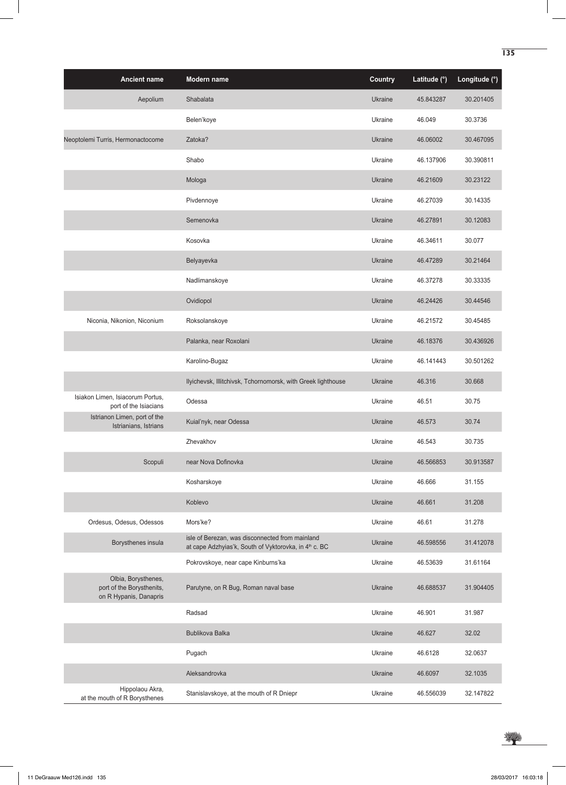| <b>Ancient name</b>                                                        | Modern name                                                                                              | <b>Country</b> | Latitude (°) | Longitude (°) |
|----------------------------------------------------------------------------|----------------------------------------------------------------------------------------------------------|----------------|--------------|---------------|
| Aepolium                                                                   | Shabalata                                                                                                | Ukraine        | 45.843287    | 30.201405     |
|                                                                            | Belen'koye                                                                                               | Ukraine        | 46.049       | 30.3736       |
| Neoptolemi Turris, Hermonactocome                                          | Zatoka?                                                                                                  | Ukraine        | 46.06002     | 30.467095     |
|                                                                            | Shabo                                                                                                    | Ukraine        | 46.137906    | 30.390811     |
|                                                                            | Mologa                                                                                                   | Ukraine        | 46.21609     | 30.23122      |
|                                                                            | Pivdennoye                                                                                               | Ukraine        | 46.27039     | 30.14335      |
|                                                                            | Semenovka                                                                                                | Ukraine        | 46.27891     | 30.12083      |
|                                                                            | Kosovka                                                                                                  | Ukraine        | 46.34611     | 30.077        |
|                                                                            | Belyayevka                                                                                               | Ukraine        | 46.47289     | 30.21464      |
|                                                                            | Nadlimanskoye                                                                                            | Ukraine        | 46.37278     | 30.33335      |
|                                                                            | Ovidiopol                                                                                                | Ukraine        | 46.24426     | 30.44546      |
| Niconia, Nikonion, Niconium                                                | Roksolanskoye                                                                                            | Ukraine        | 46.21572     | 30.45485      |
|                                                                            | Palanka, near Roxolani                                                                                   | Ukraine        | 46.18376     | 30.436926     |
|                                                                            | Karolino-Bugaz                                                                                           | Ukraine        | 46.141443    | 30.501262     |
|                                                                            | Ilyichevsk, Illitchivsk, Tchornomorsk, with Greek lighthouse                                             | Ukraine        | 46.316       | 30.668        |
| Isiakon Limen, Isiacorum Portus,<br>port of the Isiacians                  | Odessa                                                                                                   | Ukraine        | 46.51        | 30.75         |
| Istrianon Limen, port of the<br>Istrianians, Istrians                      | Kuial'nyk, near Odessa                                                                                   | Ukraine        | 46.573       | 30.74         |
|                                                                            | Zhevakhov                                                                                                | Ukraine        | 46.543       | 30.735        |
| Scopuli                                                                    | near Nova Dofinovka                                                                                      | Ukraine        | 46.566853    | 30.913587     |
|                                                                            | Kosharskoye                                                                                              | Ukraine        | 46.666       | 31.155        |
|                                                                            | Koblevo                                                                                                  | <b>Ukraine</b> | 46.661       | 31.208        |
| Ordesus, Odesus, Odessos                                                   | Mors'ke?                                                                                                 | Ukraine        | 46.61        | 31.278        |
| Borysthenes insula                                                         | isle of Berezan, was disconnected from mainland<br>at cape Adzhyias'k, South of Vyktorovka, in 4th c. BC | Ukraine        | 46.598556    | 31.412078     |
|                                                                            | Pokrovskoye, near cape Kinburns'ka                                                                       | Ukraine        | 46.53639     | 31.61164      |
| Olbia, Borysthenes,<br>port of the Borysthenits,<br>on R Hypanis, Danapris | Parutyne, on R Bug, Roman naval base                                                                     | Ukraine        | 46.688537    | 31.904405     |
|                                                                            | Radsad                                                                                                   | Ukraine        | 46.901       | 31.987        |
|                                                                            | <b>Bublikova Balka</b>                                                                                   | Ukraine        | 46.627       | 32.02         |
|                                                                            | Pugach                                                                                                   | Ukraine        | 46.6128      | 32.0637       |
|                                                                            | Aleksandrovka                                                                                            | Ukraine        | 46.6097      | 32.1035       |
| Hippolaou Akra,<br>at the mouth of R Borysthenes                           | Stanislavskoye, at the mouth of R Dniepr                                                                 | Ukraine        | 46.556039    | 32.147822     |



 $\overline{\phantom{a}}$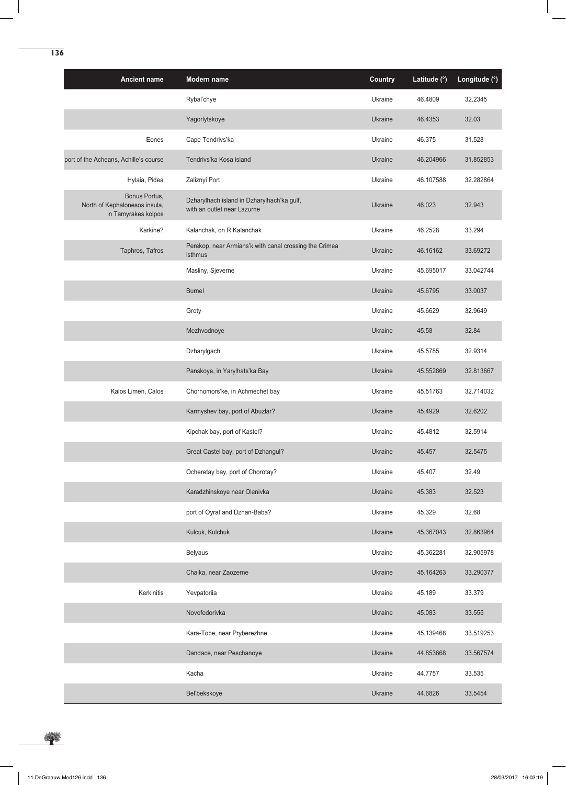| <b>Ancient name</b>                                                   | Modern name                                                               | <b>Country</b> | Latitude (°) | Longitude (°) |
|-----------------------------------------------------------------------|---------------------------------------------------------------------------|----------------|--------------|---------------|
|                                                                       | Rybal'chye                                                                | Ukraine        | 46.4809      | 32.2345       |
|                                                                       | Yagorlytskoye                                                             | <b>Ukraine</b> | 46.4353      | 32.03         |
| Eones                                                                 | Cape Tendrivs'ka                                                          | Ukraine        | 46.375       | 31.528        |
| port of the Acheans, Achille's course                                 | Tendrivs'ka Kosa island                                                   | <b>Ukraine</b> | 46.204966    | 31.852853     |
| Hylaia, Pidea                                                         | Zaliznyi Port                                                             | Ukraine        | 46.107588    | 32.282864     |
| Bonus Portus,<br>North of Kephalonesos insula,<br>in Tamyrakes kolpos | Dzharylhach island in Dzharylhach'ka gulf,<br>with an outlet near Lazurne | <b>Ukraine</b> | 46.023       | 32.943        |
| Karkine?                                                              | Kalanchak, on R Kalanchak                                                 | Ukraine        | 46.2528      | 33.294        |
| Taphros, Tafros                                                       | Perekop, near Armians'k with canal crossing the Crimea<br>isthmus         | <b>Ukraine</b> | 46.16162     | 33.69272      |
|                                                                       | Masliny, Sjeverne                                                         | Ukraine        | 45.695017    | 33.042744     |
|                                                                       | <b>Burnel</b>                                                             | <b>Ukraine</b> | 45.6795      | 33.0037       |
|                                                                       | Groty                                                                     | Ukraine        | 45.6629      | 32.9649       |
|                                                                       | Mezhvodnoye                                                               | Ukraine        | 45.58        | 32.84         |
|                                                                       | Dzharylgach                                                               | Ukraine        | 45.5785      | 32.9314       |
|                                                                       | Panskoye, in Yarylhats'ka Bay                                             | <b>Ukraine</b> | 45.552869    | 32.813667     |
| Kalos Limen, Calos                                                    | Chornomors'ke, in Achmechet bay                                           | Ukraine        | 45.51763     | 32.714032     |
|                                                                       | Karmyshev bay, port of Abuzlar?                                           | <b>Ukraine</b> | 45.4929      | 32.6202       |
|                                                                       | Kipchak bay, port of Kastel?                                              | Ukraine        | 45.4812      | 32.5914       |
|                                                                       | Great Castel bay, port of Dzhangul?                                       | Ukraine        | 45.457       | 32.5475       |
|                                                                       | Ocheretay bay, port of Chorotay?                                          | Ukraine        | 45.407       | 32.49         |
|                                                                       | Karadzhinskoye near Olenivka                                              | <b>Ukraine</b> | 45.383       | 32.523        |
|                                                                       | port of Oyrat and Dzhan-Baba?                                             | Ukraine        | 45.329       | 32.68         |
|                                                                       | Kulcuk, Kulchuk                                                           | <b>Ukraine</b> | 45.367043    | 32.863964     |
|                                                                       | <b>Belyaus</b>                                                            | Ukraine        | 45.362281    | 32.905978     |
|                                                                       | Chaika, near Zaozerne                                                     | Ukraine        | 45.164263    | 33.290377     |
| Kerkinitis                                                            | Yevpatoriia                                                               | Ukraine        | 45.189       | 33.379        |
|                                                                       | Novofedorivka                                                             | <b>Ukraine</b> | 45.083       | 33.555        |
|                                                                       | Kara-Tobe, near Pryberezhne                                               | Ukraine        | 45.139468    | 33.519253     |
|                                                                       | Dandace, near Peschanoye                                                  | <b>Ukraine</b> | 44.853668    | 33.567574     |
|                                                                       | Kacha                                                                     | Ukraine        | 44.7757      | 33.535        |
|                                                                       | Bel'bekskoye                                                              | Ukraine        | 44.6826      | 33.5454       |

\*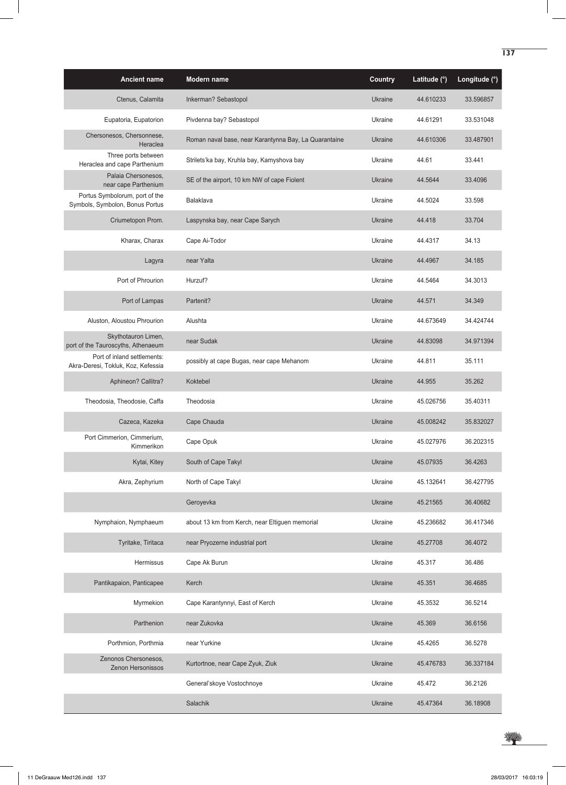| <b>Ancient name</b>                                               | Modern name                                           | <b>Country</b> | Latitude (°) | Longitude (°) |
|-------------------------------------------------------------------|-------------------------------------------------------|----------------|--------------|---------------|
| Ctenus, Calamita                                                  | Inkerman? Sebastopol                                  | Ukraine        | 44.610233    | 33.596857     |
| Eupatoria, Eupatorion                                             | Pivdenna bay? Sebastopol                              | Ukraine        | 44.61291     | 33.531048     |
| Chersonesos, Chersonnese,<br>Heraclea                             | Roman naval base, near Karantynna Bay, La Quarantaine | <b>Ukraine</b> | 44.610306    | 33.487901     |
| Three ports between<br>Heraclea and cape Parthenium               | Strilets'ka bay, Kruhla bay, Kamyshova bay            | Ukraine        | 44.61        | 33.441        |
| Palaia Chersonesos.<br>near cape Parthenium                       | SE of the airport, 10 km NW of cape Fiolent           | <b>Ukraine</b> | 44.5644      | 33.4096       |
| Portus Symbolorum, port of the<br>Symbols, Symbolon, Bonus Portus | Balaklava                                             | Ukraine        | 44.5024      | 33.598        |
| Criumetopon Prom.                                                 | Laspynska bay, near Cape Sarych                       | Ukraine        | 44.418       | 33.704        |
| Kharax, Charax                                                    | Cape Ai-Todor                                         | Ukraine        | 44.4317      | 34.13         |
| Lagyra                                                            | near Yalta                                            | Ukraine        | 44.4967      | 34.185        |
| Port of Phrourion                                                 | Hurzuf?                                               | Ukraine        | 44.5464      | 34.3013       |
| Port of Lampas                                                    | Partenit?                                             | <b>Ukraine</b> | 44.571       | 34.349        |
| Aluston, Aloustou Phrourion                                       | Alushta                                               | Ukraine        | 44.673649    | 34.424744     |
| Skythotauron Limen,<br>port of the Tauroscyths, Athenaeum         | near Sudak                                            | <b>Ukraine</b> | 44.83098     | 34.971394     |
| Port of inland settlements:<br>Akra-Deresi, Tokluk, Koz, Kefessia | possibly at cape Bugas, near cape Mehanom             | Ukraine        | 44.811       | 35.111        |
| Aphineon? Callitra?                                               | Koktebel                                              | <b>Ukraine</b> | 44.955       | 35.262        |
| Theodosia, Theodosie, Caffa                                       | Theodosia                                             | Ukraine        | 45.026756    | 35.40311      |
| Cazeca, Kazeka                                                    | Cape Chauda                                           | Ukraine        | 45.008242    | 35.832027     |
| Port Cimmerion, Cimmerium,<br>Kimmerikon                          | Cape Opuk                                             | Ukraine        | 45.027976    | 36.202315     |
| Kytai, Kitey                                                      | South of Cape Takyl                                   | Ukraine        | 45.07935     | 36.4263       |
| Akra, Zephyrium                                                   | North of Cape Takyl                                   | Ukraine        | 45.132641    | 36.427795     |
|                                                                   | Geroyevka                                             | <b>Ukraine</b> | 45.21565     | 36.40682      |
| Nymphaion, Nymphaeum                                              | about 13 km from Kerch, near Eltiguen memorial        | Ukraine        | 45.236682    | 36.417346     |
| Tyritake, Tiritaca                                                | near Pryozerne industrial port                        | Ukraine        | 45.27708     | 36.4072       |
| Hermissus                                                         | Cape Ak Burun                                         | Ukraine        | 45.317       | 36.486        |
| Pantikapaion, Panticapee                                          | Kerch                                                 | <b>Ukraine</b> | 45.351       | 36.4685       |
| Myrmekion                                                         | Cape Karantynnyi, East of Kerch                       | Ukraine        | 45.3532      | 36.5214       |
| Parthenion                                                        | near Zukovka                                          | <b>Ukraine</b> | 45.369       | 36.6156       |
| Porthmion, Porthmia                                               | near Yurkine                                          | Ukraine        | 45.4265      | 36.5278       |
| Zenonos Chersonesos,<br>Zenon Hersonissos                         | Kurtortnoe, near Cape Zyuk, Ziuk                      | Ukraine        | 45.476783    | 36.337184     |
|                                                                   | General'skoye Vostochnoye                             | Ukraine        | 45.472       | 36.2126       |
|                                                                   | Salachik                                              | Ukraine        | 45.47364     | 36.18908      |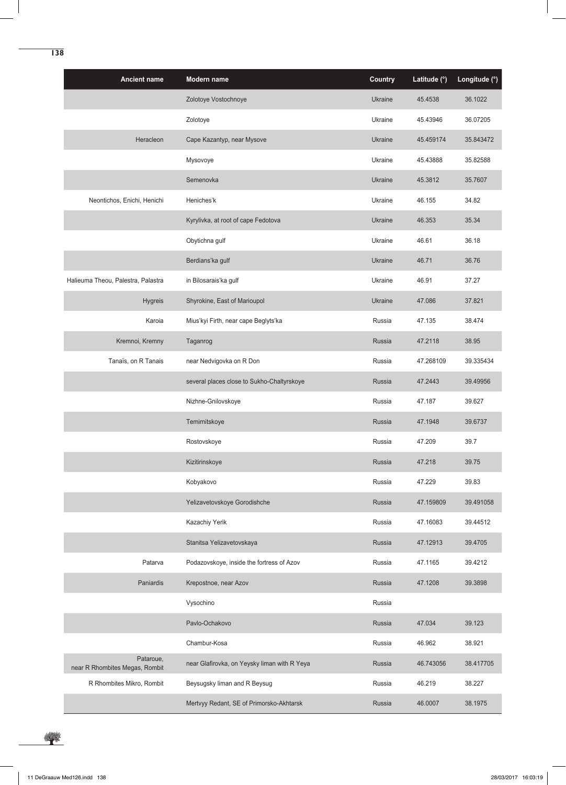| <b>Ancient name</b>                         | Modern name                                  | <b>Country</b> | Latitude (°) | Longitude (°) |
|---------------------------------------------|----------------------------------------------|----------------|--------------|---------------|
|                                             | Zolotoye Vostochnoye                         | Ukraine        | 45.4538      | 36.1022       |
|                                             | Zolotoye                                     | Ukraine        | 45.43946     | 36.07205      |
| Heracleon                                   | Cape Kazantyp, near Mysove                   | Ukraine        | 45.459174    | 35.843472     |
|                                             | Mysovoye                                     | Ukraine        | 45.43888     | 35.82588      |
|                                             | Semenovka                                    | Ukraine        | 45.3812      | 35.7607       |
| Neontichos, Enichi, Henichi                 | Heniches'k                                   | Ukraine        | 46.155       | 34.82         |
|                                             | Kyrylivka, at root of cape Fedotova          | Ukraine        | 46.353       | 35.34         |
|                                             | Obytichna gulf                               | Ukraine        | 46.61        | 36.18         |
|                                             | Berdians'ka gulf                             | Ukraine        | 46.71        | 36.76         |
| Halieuma Theou, Palestra, Palastra          | in Bilosarais'ka gulf                        | Ukraine        | 46.91        | 37.27         |
| <b>Hygreis</b>                              | Shyrokine, East of Marioupol                 | Ukraine        | 47.086       | 37.821        |
| Karoja                                      | Mius'kyi Firth, near cape Beglyts'ka         | Russia         | 47.135       | 38.474        |
| Kremnoi, Kremny                             | Taganrog                                     | Russia         | 47.2118      | 38.95         |
| Tanaïs, on R Tanais                         | near Nedvigovka on R Don                     | Russia         | 47.268109    | 39.335434     |
|                                             | several places close to Sukho-Chaltyrskoye   | Russia         | 47.2443      | 39.49956      |
|                                             | Nizhne-Gnilovskoye                           | Russia         | 47.187       | 39.627        |
|                                             | Temirnitskoye                                | Russia         | 47.1948      | 39.6737       |
|                                             | Rostovskoye                                  | Russia         | 47.209       | 39.7          |
|                                             | Kizitirinskoye                               | Russia         | 47.218       | 39.75         |
|                                             | Kobyakovo                                    | Russia         | 47.229       | 39.83         |
|                                             | Yelizavetovskoye Gorodishche                 | <b>Russia</b>  | 47.159809    | 39.491058     |
|                                             | Kazachiy Yerik                               | Russia         | 47.16083     | 39.44512      |
|                                             | Stanitsa Yelizavetovskaya                    | Russia         | 47.12913     | 39.4705       |
| Patarva                                     | Podazovskoye, inside the fortress of Azov    | Russia         | 47.1165      | 39.4212       |
| Paniardis                                   | Krepostnoe, near Azov                        | Russia         | 47.1208      | 39.3898       |
|                                             | Vysochino                                    | Russia         |              |               |
|                                             | Pavlo-Ochakovo                               | Russia         | 47.034       | 39.123        |
|                                             | Chambur-Kosa                                 | Russia         | 46.962       | 38.921        |
| Pataroue,<br>near R Rhombites Megas, Rombit | near Glafirovka, on Yeysky liman with R Yeya | Russia         | 46.743056    | 38.417705     |
| R Rhombites Mikro, Rombit                   | Beysugsky liman and R Beysug                 | Russia         | 46.219       | 38.227        |
|                                             | Mertvyy Redant, SE of Primorsko-Akhtarsk     | Russia         | 46.0007      | 38.1975       |

学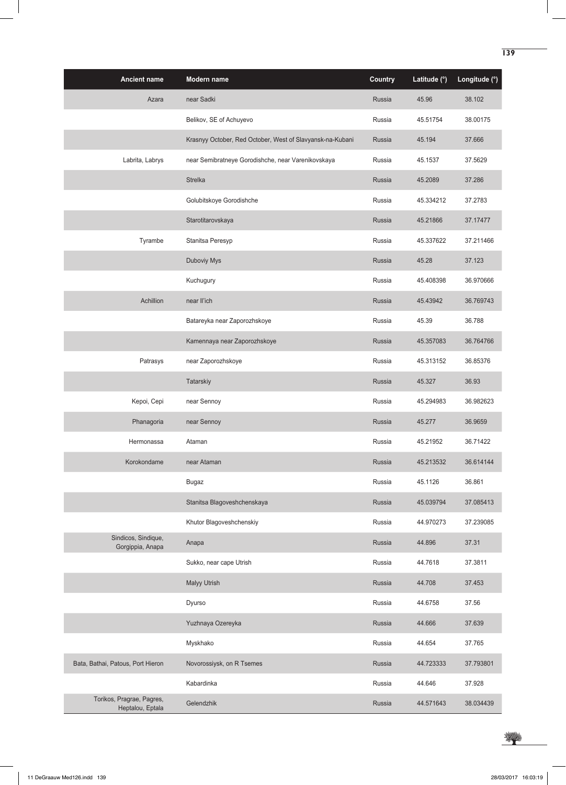| <b>Ancient name</b>                           | Modern name                                               | <b>Country</b> | Latitude (°) | Longitude (°) |
|-----------------------------------------------|-----------------------------------------------------------|----------------|--------------|---------------|
| Azara                                         | near Sadki                                                | Russia         | 45.96        | 38.102        |
|                                               | Belikov, SE of Achuyevo                                   | Russia         | 45.51754     | 38.00175      |
|                                               | Krasnyy October, Red October, West of Slavyansk-na-Kubani | Russia         | 45.194       | 37.666        |
| Labrita, Labrys                               | near Semibratneye Gorodishche, near Varenikovskaya        | Russia         | 45.1537      | 37.5629       |
|                                               | <b>Strelka</b>                                            | Russia         | 45.2089      | 37.286        |
|                                               | Golubitskoye Gorodishche                                  | Russia         | 45.334212    | 37.2783       |
|                                               | Starotitarovskaya                                         | Russia         | 45.21866     | 37.17477      |
| Tyrambe                                       | Stanitsa Peresyp                                          | Russia         | 45.337622    | 37.211466     |
|                                               | Duboviy Mys                                               | Russia         | 45.28        | 37.123        |
|                                               | Kuchugury                                                 | Russia         | 45.408398    | 36.970666     |
| Achillion                                     | near Il'ich                                               | Russia         | 45.43942     | 36.769743     |
|                                               | Batareyka near Zaporozhskoye                              | Russia         | 45.39        | 36.788        |
|                                               | Kamennaya near Zaporozhskoye                              | Russia         | 45.357083    | 36.764766     |
| Patrasys                                      | near Zaporozhskoye                                        | Russia         | 45.313152    | 36.85376      |
|                                               | Tatarskiy                                                 | Russia         | 45.327       | 36.93         |
| Kepoi, Cepi                                   | near Sennoy                                               | Russia         | 45.294983    | 36.982623     |
| Phanagoria                                    | near Sennoy                                               | Russia         | 45.277       | 36.9659       |
| Hermonassa                                    | Ataman                                                    | Russia         | 45.21952     | 36.71422      |
| Korokondame                                   | near Ataman                                               | <b>Russia</b>  | 45.213532    | 36.614144     |
|                                               | <b>Bugaz</b>                                              | Russia         | 45.1126      | 36.861        |
|                                               | Stanitsa Blagoveshchenskaya                               | Russia         | 45.039794    | 37.085413     |
|                                               | Khutor Blagoveshchenskiy                                  | Russia         | 44.970273    | 37.239085     |
| Sindicos, Sindique,<br>Gorgippia, Anapa       | Anapa                                                     | Russia         | 44.896       | 37.31         |
|                                               | Sukko, near cape Utrish                                   | Russia         | 44.7618      | 37.3811       |
|                                               | <b>Malyy Utrish</b>                                       | Russia         | 44.708       | 37.453        |
|                                               | Dyurso                                                    | Russia         | 44.6758      | 37.56         |
|                                               | Yuzhnaya Ozereyka                                         | Russia         | 44.666       | 37.639        |
|                                               | Myskhako                                                  | Russia         | 44.654       | 37.765        |
| Bata, Bathai, Patous, Port Hieron             | Novorossiysk, on R Tsemes                                 | Russia         | 44.723333    | 37.793801     |
|                                               | Kabardinka                                                | Russia         | 44.646       | 37.928        |
| Torikos, Pragrae, Pagres,<br>Heptalou, Eptala | Gelendzhik                                                | Russia         | 44.571643    | 38.034439     |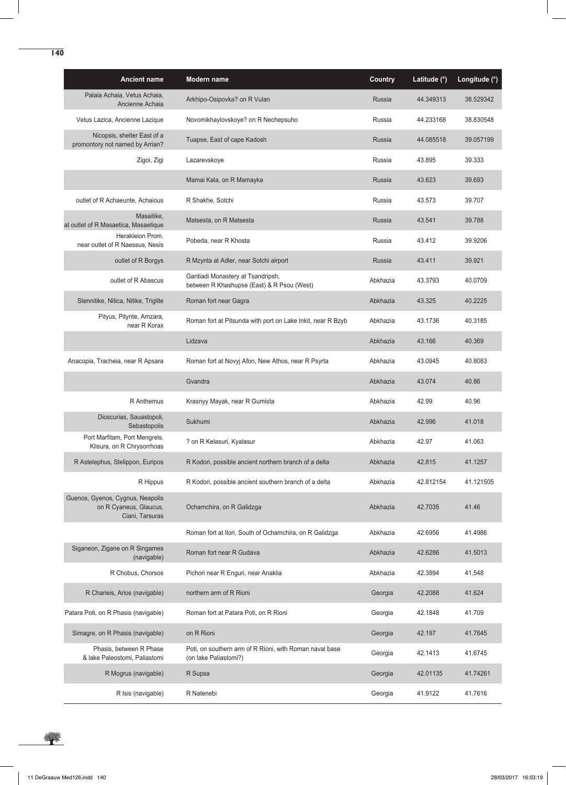| <b>Ancient name</b>                                                           | Modern name                                                                      | Country       | Latitude (°) | Longitude (°) |
|-------------------------------------------------------------------------------|----------------------------------------------------------------------------------|---------------|--------------|---------------|
| Palaia Achaia, Vetus Achaia,<br>Ancienne Achaia                               | Arkhipo-Osipovka? on R Vulan                                                     | <b>Russia</b> | 44.349313    | 38.529342     |
| Vetus Lazica, Ancienne Lazique                                                | Novomikhaylovskoye? on R Nechepsuho                                              | Russia        | 44.233168    | 38.830548     |
| Nicopsis, shelter East of a<br>promontory not named by Arrian?                | Tuapse, East of cape Kadosh                                                      | Russia        | 44.085518    | 39.057199     |
| Zigoi, Zigi                                                                   | Lazarevskoye                                                                     | Russia        | 43.895       | 39.333        |
|                                                                               | Mamai Kala, on R Mamayka                                                         | <b>Russia</b> | 43.623       | 39.693        |
| outlet of R Achaeunte, Achaious                                               | R Shakhe, Sotchi                                                                 | Russia        | 43.573       | 39.707        |
| Masaitike,<br>at outlet of R Masaetica, Masaetique                            | Matsesta, on R Matsesta                                                          | <b>Russia</b> | 43.541       | 39.788        |
| Herakleion Prom.<br>near outlet of R Naessus, Nesis                           | Pobeda, near R Khosta                                                            | Russia        | 43.412       | 39.9206       |
| outlet of R Borgys                                                            | R Mzynta at Adler, near Sotchi airport                                           | Russia        | 43.411       | 39.921        |
| outlet of R Abascus                                                           | Gantiadi Monastery at Tsandripsh,<br>between R Khashupse (East) & R Psou (West)  | Abkhazia      | 43.3793      | 40.0709       |
| Stennitike, Nitica, Nitike, Triglite                                          | Roman fort near Gagra                                                            | Abkhazia      | 43.325       | 40.2225       |
| Pityus, Pitynte, Amzara,<br>near R Korax                                      | Roman fort at Pitsunda with port on Lake Inkit, near R Bzyb                      | Abkhazia      | 43.1736      | 40.3185       |
|                                                                               | Lidzava                                                                          | Abkhazia      | 43.166       | 40.369        |
| Anacopia, Tracheia, near R Apsara                                             | Roman fort at Novyj Afon, New Athos, near R Psyrta                               | Abkhazia      | 43.0945      | 40.8083       |
|                                                                               | Gvandra                                                                          | Abkhazia      | 43.074       | 40.86         |
| R Anthemus                                                                    | Krasnyy Mayak, near R Gumista                                                    | Abkhazia      | 42.99        | 40.96         |
| Dioscurias, Sauastopoli,<br>Sebastopolis                                      | Sukhumi                                                                          | Abkhazia      | 42.996       | 41.018        |
| Port Marfitam, Port Mengrels,<br>Klisura, on R Chrysorrhoas                   | ? on R Kelasuri, Kyalasur                                                        | Abkhazia      | 42.97        | 41.063        |
| R Astelephus, Stelippon, Euripos                                              | R Kodori, possible ancient northern branch of a delta                            | Abkhazia      | 42.815       | 41.1257       |
| R Hippus                                                                      | R Kodori, possible ancient southern branch of a delta                            | Abkhazia      | 42.812154    | 41.121505     |
| Guenos, Gyenos, Cygnus, Neapolis<br>on R Cyaneus, Glaucus,<br>Ciani, Tarsuras | Ochamchira, on R Galidzga                                                        | Abkhazia      | 42.7035      | 41.46         |
|                                                                               | Roman fort at Ilori, South of Ochamchira, on R Galidzga                          | Abkhazia      | 42.6956      | 41.4986       |
| Siganeon, Zigane on R Singames<br>(navigable)                                 | Roman fort near R Gudava                                                         | Abkhazia      | 42.6286      | 41.5013       |
| R Chobus, Chorsos                                                             | Pichori near R Enguri, near Anaklia                                              | Abkhazia      | 42.3894      | 41.548        |
| R Charieis, Arios (navigable)                                                 | northern arm of R Rioni                                                          | Georgia       | 42.2088      | 41.624        |
| Patara Poti, on R Phasis (navigable)                                          | Roman fort at Patara Poti, on R Rioni                                            | Georgia       | 42.1848      | 41.709        |
| Simagre, on R Phasis (navigable)                                              | on R Rioni                                                                       | Georgia       | 42.197       | 41.7645       |
| Phasis, between R Phase<br>& lake Paleostomi, Paliastomi                      | Poti, on southern arm of R Rioni, with Roman naval base<br>(on lake Paliastomi?) | Georgia       | 42.1413      | 41.6745       |
| R Mogrus (navigable)                                                          | R Supsa                                                                          | Georgia       | 42.01135     | 41.74261      |
| R Isis (navigable)                                                            | R Natenebi                                                                       | Georgia       | 41.9122      | 41.7616       |

¥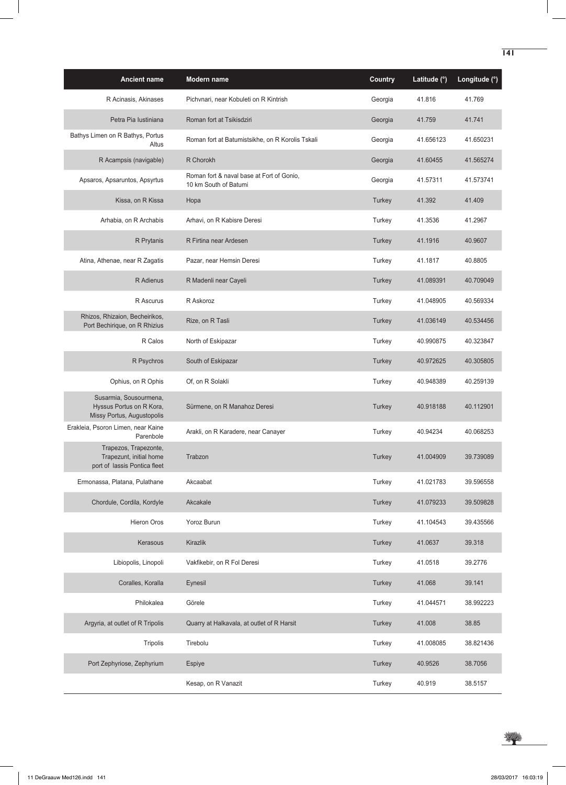| <b>Ancient name</b>                                                              | Modern name                                                        | <b>Country</b> | Latitude (°) | Longitude (°) |
|----------------------------------------------------------------------------------|--------------------------------------------------------------------|----------------|--------------|---------------|
| R Acinasis, Akinases                                                             | Pichvnari, near Kobuleti on R Kintrish                             | Georgia        | 41.816       | 41.769        |
| Petra Pia Iustiniana                                                             | Roman fort at Tsikisdziri                                          | Georgia        | 41.759       | 41.741        |
| Bathys Limen on R Bathys, Portus<br>Altus                                        | Roman fort at Batumistsikhe, on R Korolis Tskali                   | Georgia        | 41.656123    | 41.650231     |
| R Acampsis (navigable)                                                           | R Chorokh                                                          | Georgia        | 41.60455     | 41.565274     |
| Apsaros, Apsaruntos, Apsyrtus                                                    | Roman fort & naval base at Fort of Gonio,<br>10 km South of Batumi | Georgia        | 41.57311     | 41.573741     |
| Kissa, on R Kissa                                                                | Hopa                                                               | Turkey         | 41.392       | 41.409        |
| Arhabia, on R Archabis                                                           | Arhavi, on R Kabisre Deresi                                        | Turkey         | 41.3536      | 41.2967       |
| R Prytanis                                                                       | R Firtina near Ardesen                                             | Turkey         | 41.1916      | 40.9607       |
| Atina, Athenae, near R Zagatis                                                   | Pazar, near Hemsin Deresi                                          | Turkey         | 41.1817      | 40.8805       |
| R Adienus                                                                        | R Madenli near Cayeli                                              | Turkey         | 41.089391    | 40.709049     |
| R Ascurus                                                                        | R Askoroz                                                          | Turkey         | 41.048905    | 40.569334     |
| Rhizos, Rhizaion, Becheirikos,<br>Port Bechirique, on R Rhizius                  | Rize, on R Tasli                                                   | Turkey         | 41.036149    | 40.534456     |
| R Calos                                                                          | North of Eskipazar                                                 | Turkey         | 40.990875    | 40.323847     |
| R Psychros                                                                       | South of Eskipazar                                                 | Turkey         | 40.972625    | 40.305805     |
| Ophius, on R Ophis                                                               | Of, on R Solakli                                                   | Turkey         | 40.948389    | 40.259139     |
| Susarmia, Sousourmena,<br>Hyssus Portus on R Kora,<br>Missy Portus, Augustopolis | Sürmene, on R Manahoz Deresi                                       | Turkey         | 40.918188    | 40.112901     |
| Erakleia, Psoron Limen, near Kaine<br>Parenbole                                  | Arakli, on R Karadere, near Canayer                                | Turkey         | 40.94234     | 40.068253     |
| Trapezos, Trapezonte,<br>Trapezunt, initial home<br>port of lassis Pontica fleet | Trabzon                                                            | Turkey         | 41.004909    | 39.739089     |
| Ermonassa, Platana, Pulathane                                                    | Akcaabat                                                           | Turkey         | 41.021783    | 39.596558     |
| Chordule, Cordila, Kordyle                                                       | Akcakale                                                           | Turkey         | 41.079233    | 39.509828     |
| Hieron Oros                                                                      | Yoroz Burun                                                        | Turkey         | 41.104543    | 39.435566     |
| Kerasous                                                                         | Kirazlik                                                           | Turkey         | 41.0637      | 39.318        |
| Libiopolis, Linopoli                                                             | Vakfikebir, on R Fol Deresi                                        | Turkey         | 41.0518      | 39.2776       |
| Coralles, Koralla                                                                | Eynesil                                                            | Turkey         | 41.068       | 39.141        |
| Philokalea                                                                       | Görele                                                             | Turkey         | 41.044571    | 38.992223     |
| Argyria, at outlet of R Tripolis                                                 | Quarry at Halkavala, at outlet of R Harsit                         | Turkey         | 41.008       | 38.85         |
| Tripolis                                                                         | Tirebolu                                                           | Turkey         | 41.008085    | 38.821436     |
| Port Zephyriose, Zephyrium                                                       | Espiye                                                             | Turkey         | 40.9526      | 38.7056       |
|                                                                                  | Kesap, on R Vanazit                                                | Turkey         | 40.919       | 38.5157       |

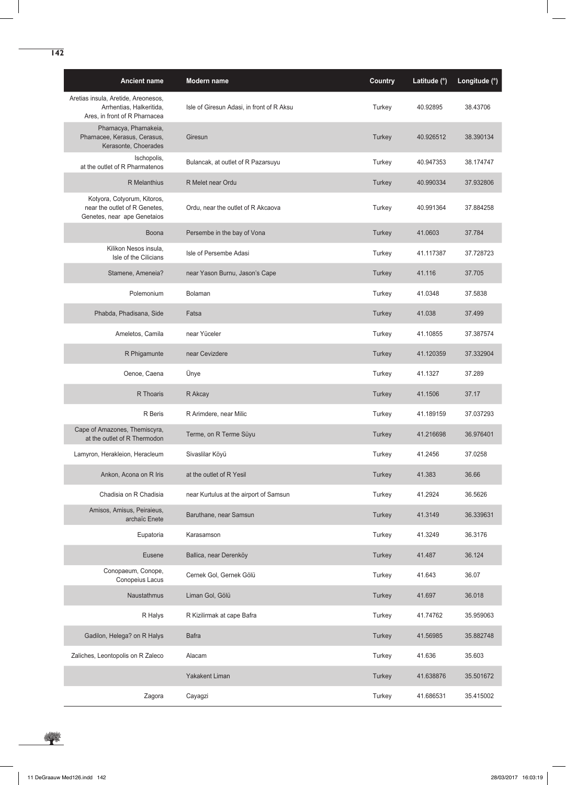| <b>Ancient name</b>                                                                              | Modern name                               | <b>Country</b> | Latitude (°) | Longitude (°) |
|--------------------------------------------------------------------------------------------------|-------------------------------------------|----------------|--------------|---------------|
| Aretias insula, Aretide, Areonesos,<br>Arrhentias, Halkeritida,<br>Ares, in front of R Pharnacea | Isle of Giresun Adasi, in front of R Aksu | Turkey         | 40.92895     | 38.43706      |
| Pharnacya, Pharnakeia,<br>Pharnacee, Kerasus, Cerasus,<br>Kerasonte, Choerades                   | Giresun                                   | Turkey         | 40.926512    | 38.390134     |
| Ischopolis,<br>at the outlet of R Pharmatenos                                                    | Bulancak, at outlet of R Pazarsuyu        | Turkey         | 40.947353    | 38.174747     |
| <b>R</b> Melanthius                                                                              | R Melet near Ordu                         | Turkey         | 40.990334    | 37.932806     |
| Kotyora, Cotyorum, Kitoros,<br>near the outlet of R Genetes,<br>Genetes, near ape Genetaios      | Ordu, near the outlet of R Akcaova        | Turkey         | 40.991364    | 37.884258     |
| Boona                                                                                            | Persembe in the bay of Vona               | Turkey         | 41.0603      | 37.784        |
| Kilikon Nesos insula,<br>Isle of the Cilicians                                                   | Isle of Persembe Adasi                    | Turkey         | 41.117387    | 37.728723     |
| Stamene, Ameneia?                                                                                | near Yason Burnu, Jason's Cape            | Turkey         | 41.116       | 37.705        |
| Polemonium                                                                                       | <b>Bolaman</b>                            | Turkey         | 41.0348      | 37.5838       |
| Phabda, Phadisana, Side                                                                          | Fatsa                                     | Turkey         | 41.038       | 37.499        |
| Ameletos, Camila                                                                                 | near Yüceler                              | Turkey         | 41.10855     | 37.387574     |
| R Phigamunte                                                                                     | near Cevizdere                            | Turkey         | 41.120359    | 37.332904     |
| Oenoe, Caena                                                                                     | Ünye                                      | Turkey         | 41.1327      | 37.289        |
| R Thoaris                                                                                        | R Akcay                                   | Turkey         | 41.1506      | 37.17         |
| R Beris                                                                                          | R Arimdere, near Milic                    | Turkey         | 41.189159    | 37.037293     |
| Cape of Amazones, Themiscyra,<br>at the outlet of R Thermodon                                    | Terme, on R Terme Süyu                    | Turkey         | 41.216698    | 36.976401     |
| Lamyron, Herakleion, Heracleum                                                                   | Sivaslilar Köyü                           | Turkey         | 41.2456      | 37.0258       |
| Ankon, Acona on R Iris                                                                           | at the outlet of R Yesil                  | Turkey         | 41.383       | 36.66         |
| Chadisia on R Chadisia                                                                           | near Kurtulus at the airport of Samsun    | Turkey         | 41.2924      | 36.5626       |
| Amisos, Amisus, Peiraieus,<br>archaïc Enete                                                      | Baruthane, near Samsun                    | Turkey         | 41.3149      | 36.339631     |
| Eupatoria                                                                                        | Karasamson                                | Turkey         | 41.3249      | 36.3176       |
| <b>Eusene</b>                                                                                    | Ballica, near Derenköy                    | Turkey         | 41.487       | 36.124        |
| Conopaeum, Conope,<br>Conopeius Lacus                                                            | Cernek Gol, Gernek Gölü                   | Turkey         | 41.643       | 36.07         |
| Naustathmus                                                                                      | Liman Gol, Gölü                           | Turkey         | 41.697       | 36.018        |
| R Halys                                                                                          | R Kizilirmak at cape Bafra                | Turkey         | 41.74762     | 35.959063     |
| Gadilon, Helega? on R Halys                                                                      | <b>Bafra</b>                              | Turkey         | 41.56985     | 35.882748     |
| Zaliches, Leontopolis on R Zaleco                                                                | Alacam                                    | Turkey         | 41.636       | 35.603        |
|                                                                                                  | <b>Yakakent Liman</b>                     | Turkey         | 41.638876    | 35.501672     |
| Zagora                                                                                           | Cayagzi                                   | Turkey         | 41.686531    | 35.415002     |

\*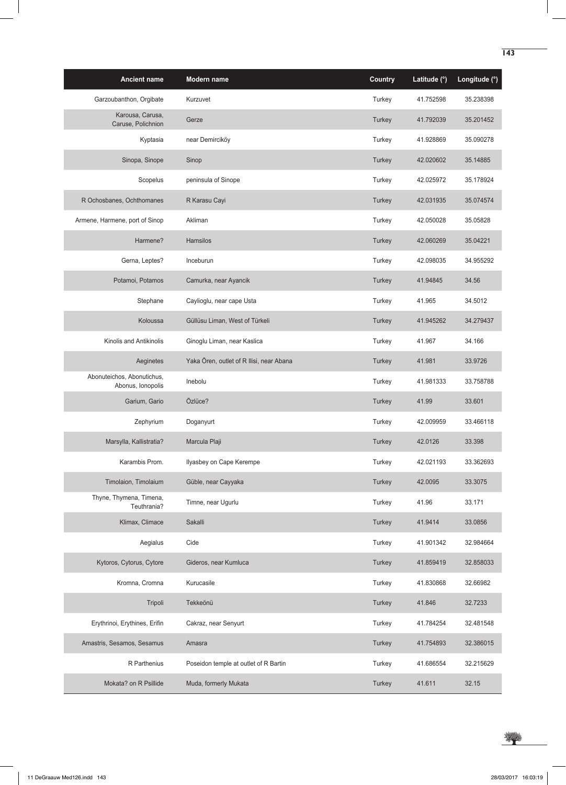| <b>Ancient name</b>                             | Modern name                              | Country | Latitude (°) | Longitude (°) |
|-------------------------------------------------|------------------------------------------|---------|--------------|---------------|
| Garzoubanthon, Orgibate                         | Kurzuvet                                 | Turkey  | 41.752598    | 35.238398     |
| Karousa, Carusa,<br>Caruse, Polichnion          | Gerze                                    | Turkey  | 41.792039    | 35.201452     |
| Kyptasia                                        | near Demirciköy                          | Turkey  | 41.928869    | 35.090278     |
| Sinopa, Sinope                                  | Sinop                                    | Turkey  | 42.020602    | 35.14885      |
| Scopelus                                        | peninsula of Sinope                      | Turkey  | 42.025972    | 35.178924     |
| R Ochosbanes, Ochthomanes                       | R Karasu Cayi                            | Turkey  | 42.031935    | 35.074574     |
| Armene, Harmene, port of Sinop                  | Akliman                                  | Turkey  | 42.050028    | 35.05828      |
| Harmene?                                        | Hamsilos                                 | Turkey  | 42.060269    | 35.04221      |
| Gerna, Leptes?                                  | Inceburun                                | Turkey  | 42.098035    | 34.955292     |
| Potamoi, Potamos                                | Camurka, near Ayancik                    | Turkey  | 41.94845     | 34.56         |
| Stephane                                        | Caylioglu, near cape Usta                | Turkey  | 41.965       | 34.5012       |
| Koloussa                                        | Güllüsu Liman, West of Türkeli           | Turkey  | 41.945262    | 34.279437     |
| Kinolis and Antikinolis                         | Ginoglu Liman, near Kaslica              | Turkey  | 41.967       | 34.166        |
| Aeginetes                                       | Yaka Ören, outlet of R Ilisi, near Abana | Turkey  | 41.981       | 33.9726       |
| Abonuteichos, Abonutichus,<br>Abonus, Ionopolis | Inebolu                                  | Turkey  | 41.981333    | 33.758788     |
| Garium, Gario                                   | Özlüce?                                  | Turkey  | 41.99        | 33.601        |
| Zephyrium                                       | Doganyurt                                | Turkey  | 42.009959    | 33.466118     |
| Marsylla, Kallistratia?                         | Marcula Plaji                            | Turkey  | 42.0126      | 33.398        |
| Karambis Prom.                                  | Ilyasbey on Cape Kerempe                 | Turkey  | 42.021193    | 33.362693     |
| Timolaion, Timolaium                            | Güble, near Cayyaka                      | Turkey  | 42.0095      | 33.3075       |
| Thyne, Thymena, Timena,<br>Teuthrania?          | Timne, near Ugurlu                       | Turkey  | 41.96        | 33.171        |
| Klimax, Climace                                 | Sakalli                                  | Turkey  | 41.9414      | 33.0856       |
| Aegialus                                        | Cide                                     | Turkey  | 41.901342    | 32.984664     |
| Kytoros, Cytorus, Cytore                        | Gideros, near Kumluca                    | Turkey  | 41.859419    | 32.858033     |
| Kromna, Cromna                                  | Kurucasile                               | Turkey  | 41.830868    | 32.66982      |
| Tripoli                                         | Tekkeönü                                 | Turkey  | 41.846       | 32.7233       |
| Erythrinoi, Erythines, Erifin                   | Cakraz, near Senyurt                     | Turkey  | 41.784254    | 32.481548     |
| Amastris, Sesamos, Sesamus                      | Amasra                                   | Turkey  | 41.754893    | 32.386015     |
| R Parthenius                                    | Poseidon temple at outlet of R Bartin    | Turkey  | 41.686554    | 32.215629     |
| Mokata? on R Psillide                           | Muda, formerly Mukata                    | Turkey  | 41.611       | 32.15         |